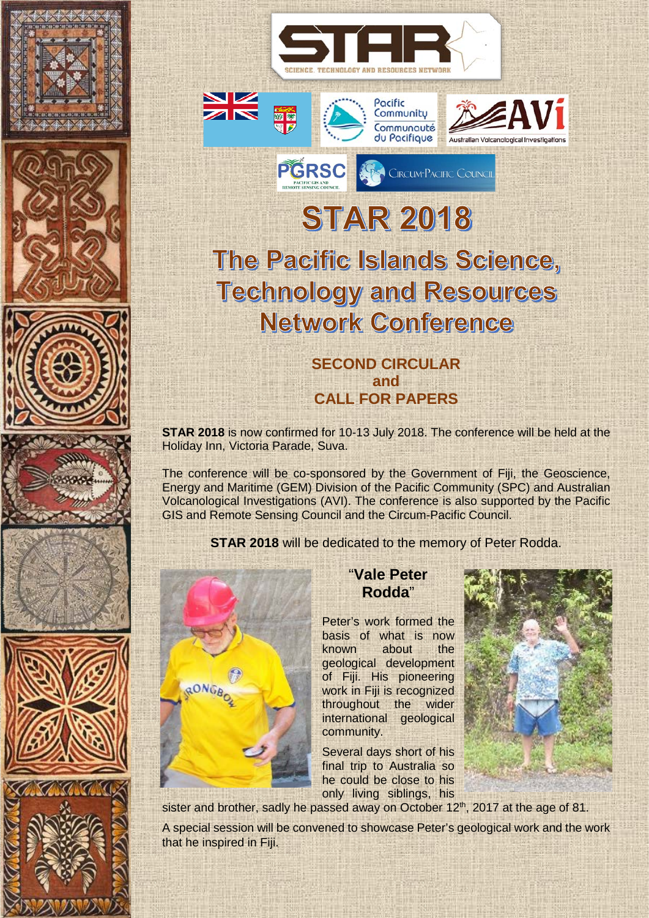













# **STAR 2018**

**PGRSC** *FOR CIRCUMPACIFIC COUNCIL* 

Communauté du Pacifique

Australian Volcanological Investioa

## The Pacific Islands Science, **Technology and Resources Network Conference**

## **SECOND CIRCULAR and CALL FOR PAPERS**

**STAR 2018** is now confirmed for 10-13 July 2018. The conference will be held at the Holiday Inn, Victoria Parade, Suva.

The conference will be co-sponsored by the Government of Fiji, the Geoscience, Energy and Maritime (GEM) Division of the Pacific Community (SPC) and Australian Volcanological Investigations (AVI). The conference is also supported by the Pacific GIS and Remote Sensing Council and the Circum-Pacific Council.

**STAR 2018** will be dedicated to the memory of Peter Rodda.



## "**Vale Peter Rodda**"

Peter's work formed the basis of what is now known about the geological development of Fiji. His pioneering work in Fiji is recognized throughout the wider international geological community.

Several days short of his final trip to Australia so he could be close to his only living siblings, his



sister and brother, sadly he passed away on October 12<sup>th</sup>, 2017 at the age of 81.

A special session will be convened to showcase Peter's geological work and the work that he inspired in Fiji.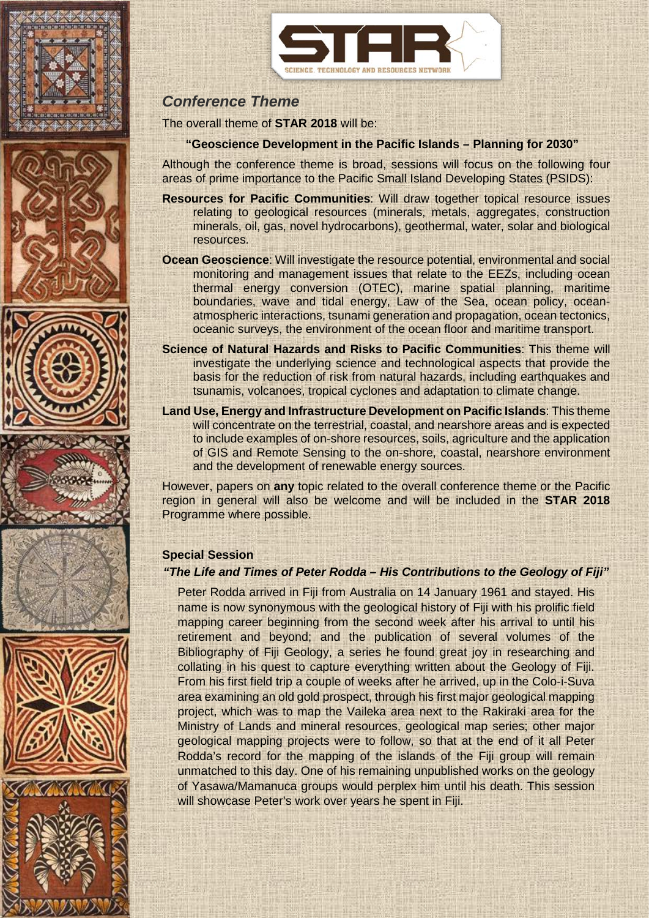













## *Conference Theme*

The overall theme of **STAR 2018** will be:

#### **"Geoscience Development in the Pacific Islands – Planning for 2030"**

Although the conference theme is broad, sessions will focus on the following four areas of prime importance to the Pacific Small Island Developing States (PSIDS):

- **Resources for Pacific Communities**: Will draw together topical resource issues relating to geological resources (minerals, metals, aggregates, construction minerals, oil, gas, novel hydrocarbons), geothermal, water, solar and biological resources.
- **Ocean Geoscience**: Will investigate the resource potential, environmental and social monitoring and management issues that relate to the EEZs, including ocean thermal energy conversion (OTEC), marine spatial planning, maritime boundaries, wave and tidal energy, Law of the Sea, ocean policy, oceanatmospheric interactions, tsunami generation and propagation, ocean tectonics, oceanic surveys, the environment of the ocean floor and maritime transport.
- **Science of Natural Hazards and Risks to Pacific Communities**: This theme will investigate the underlying science and technological aspects that provide the basis for the reduction of risk from natural hazards, including earthquakes and tsunamis, volcanoes, tropical cyclones and adaptation to climate change.
- **Land Use, Energy and Infrastructure Development on Pacific Islands**: This theme will concentrate on the terrestrial, coastal, and nearshore areas and is expected to include examples of on-shore resources, soils, agriculture and the application of GIS and Remote Sensing to the on-shore, coastal, nearshore environment and the development of renewable energy sources.

However, papers on **any** topic related to the overall conference theme or the Pacific region in general will also be welcome and will be included in the **STAR 2018** Programme where possible.

#### **Special Session**

#### *"The Life and Times of Peter Rodda – His Contributions to the Geology of Fiji"*

Peter Rodda arrived in Fiji from Australia on 14 January 1961 and stayed. His name is now synonymous with the geological history of Fiji with his prolific field mapping career beginning from the second week after his arrival to until his retirement and beyond; and the publication of several volumes of the Bibliography of Fiji Geology, a series he found great joy in researching and collating in his quest to capture everything written about the Geology of Fiji. From his first field trip a couple of weeks after he arrived, up in the Colo-i-Suva area examining an old gold prospect, through his first major geological mapping project, which was to map the Vaileka area next to the Rakiraki area for the Ministry of Lands and mineral resources, geological map series; other major geological mapping projects were to follow, so that at the end of it all Peter Rodda's record for the mapping of the islands of the Fiji group will remain unmatched to this day. One of his remaining unpublished works on the geology of Yasawa/Mamanuca groups would perplex him until his death. This session will showcase Peter's work over years he spent in Fiji.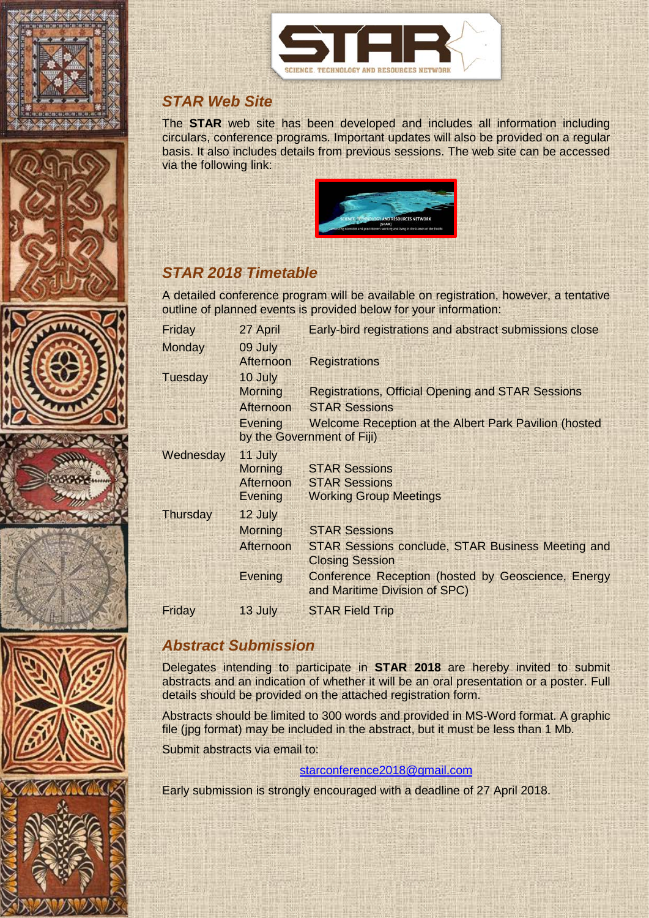















## *STAR Web Site*

The **STAR** web site has been developed and includes all information including circulars, conference programs. Important updates will also be provided on a regular basis. It also includes details from previous sessions. The web site can be accessed via the following link:



## *STAR 2018 Timetable*

A detailed conference program will be available on registration, however, a tentative outline of planned events is provided below for your information:

| Friday          | 27 April                   | Early-bird registrations and abstract submissions close                             |  |
|-----------------|----------------------------|-------------------------------------------------------------------------------------|--|
| <b>Monday</b>   | 09 July                    |                                                                                     |  |
|                 | Afternoon                  | <b>Registrations</b>                                                                |  |
| Tuesday         | 10 July                    |                                                                                     |  |
|                 | <b>Morning</b>             | <b>Registrations, Official Opening and STAR Sessions</b>                            |  |
|                 | Afternoon                  | <b>STAR Sessions</b>                                                                |  |
|                 | Evening                    | Welcome Reception at the Albert Park Pavilion (hosted                               |  |
|                 | by the Government of Fiji) |                                                                                     |  |
| Wednesday       | 11 July                    |                                                                                     |  |
|                 | <b>Morning</b>             | <b>STAR Sessions</b>                                                                |  |
|                 | Afternoon                  | <b>STAR Sessions</b>                                                                |  |
|                 | Evening                    | <b>Working Group Meetings</b>                                                       |  |
| <b>Thursday</b> | 12 July                    |                                                                                     |  |
|                 | <b>Morning</b>             | <b>STAR Sessions</b>                                                                |  |
|                 | Afternoon                  | <b>STAR Sessions conclude, STAR Business Meeting and</b>                            |  |
|                 |                            | <b>Closing Session</b>                                                              |  |
|                 | Evening                    | Conference Reception (hosted by Geoscience, Energy<br>and Maritime Division of SPC) |  |
| Friday          | 13 July                    | <b>STAR Field Trip</b>                                                              |  |
|                 |                            |                                                                                     |  |

## *Abstract Submission*

Delegates intending to participate in **STAR 2018** are hereby invited to submit abstracts and an indication of whether it will be an oral presentation or a poster. Full details should be provided on the attached registration form.

Abstracts should be limited to 300 words and provided in MS-Word format. A graphic file (jpg format) may be included in the abstract, but it must be less than 1 Mb.

Submit abstracts via email to:

#### [starconference2018@gmail.com](mailto:starconference2018@gmail.com)

Early submission is strongly encouraged with a deadline of 27 April 2018.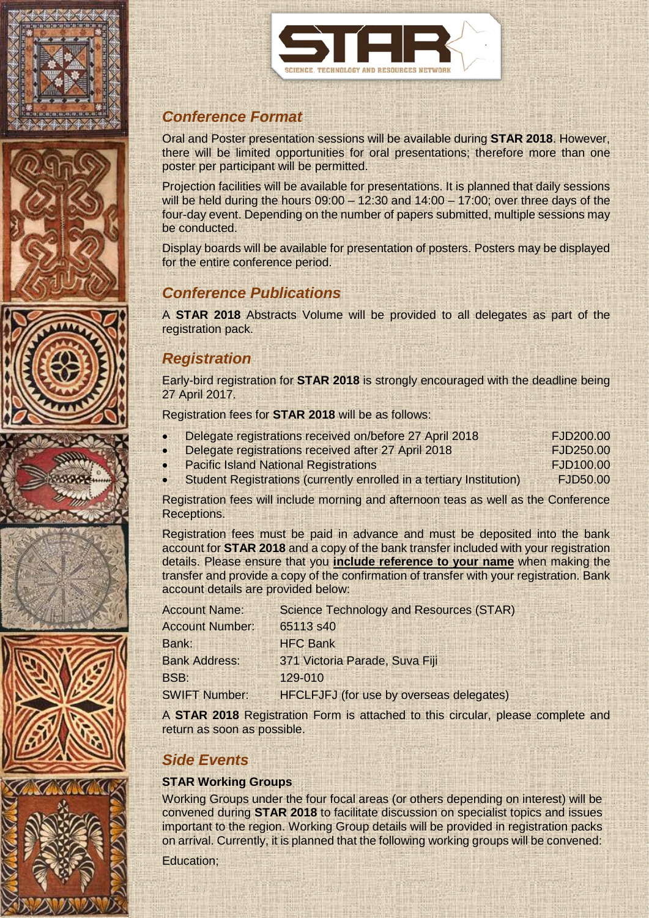













## *Conference Format*

Oral and Poster presentation sessions will be available during **STAR 2018**. However, there will be limited opportunities for oral presentations; therefore more than one poster per participant will be permitted.

Projection facilities will be available for presentations. It is planned that daily sessions will be held during the hours 09:00 – 12:30 and 14:00 – 17:00; over three days of the four-day event. Depending on the number of papers submitted, multiple sessions may be conducted.

Display boards will be available for presentation of posters. Posters may be displayed for the entire conference period.

## *Conference Publications*

A **STAR 2018** Abstracts Volume will be provided to all delegates as part of the registration pack.

## *Registration*

Early-bird registration for **STAR 2018** is strongly encouraged with the deadline being 27 April 2017.

Registration fees for **STAR 2018** will be as follows:

| Delegate registrations received on/before 27 April 2018 | FJD200.00 |
|---------------------------------------------------------|-----------|
| Delegate registrations received after 27 April 2018     | FJD250.00 |

- **Pacific Island National Registrations FJD100.00**
- Student Registrations (currently enrolled in a tertiary Institution) FJD50.00

Registration fees will include morning and afternoon teas as well as the Conference Receptions.

Registration fees must be paid in advance and must be deposited into the bank account for **STAR 2018** and a copy of the bank transfer included with your registration details. Please ensure that you **include reference to your name** when making the transfer and provide a copy of the confirmation of transfer with your registration. Bank account details are provided below:

| <b>Account Name:</b>   | <b>Science Technology and Resources (STAR)</b>  |
|------------------------|-------------------------------------------------|
| <b>Account Number:</b> | 65113 s40                                       |
| Bank:                  | <b>HFC Bank</b>                                 |
| <b>Bank Address:</b>   | 371 Victoria Parade, Suva Fiji                  |
| BSB:                   | 129-010                                         |
| <b>SWIFT Number:</b>   | <b>HFCLFJFJ</b> (for use by overseas delegates) |

A **STAR 2018** Registration Form is attached to this circular, please complete and return as soon as possible.

## *Side Events*

#### **STAR Working Groups**

Working Groups under the four focal areas (or others depending on interest) will be convened during **STAR 2018** to facilitate discussion on specialist topics and issues important to the region. Working Group details will be provided in registration packs on arrival. Currently, it is planned that the following working groups will be convened:

Education;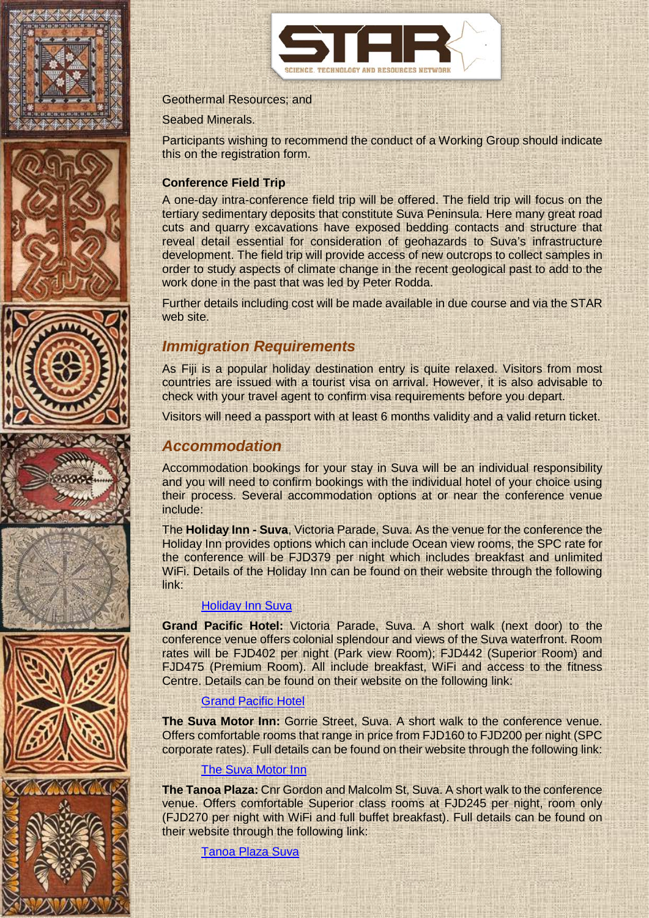















#### Geothermal Resources; and

Seabed Minerals.

Participants wishing to recommend the conduct of a Working Group should indicate this on the registration form.

#### **Conference Field Trip**

A one-day intra-conference field trip will be offered. The field trip will focus on the tertiary sedimentary deposits that constitute Suva Peninsula. Here many great road cuts and quarry excavations have exposed bedding contacts and structure that reveal detail essential for consideration of geohazards to Suva's infrastructure development. The field trip will provide access of new outcrops to collect samples in order to study aspects of climate change in the recent geological past to add to the work done in the past that was led by Peter Rodda.

Further details including cost will be made available in due course and via the STAR web site.

#### *Immigration Requirements*

As Fiji is a popular holiday destination entry is quite relaxed. Visitors from most countries are issued with a tourist visa on arrival. However, it is also advisable to check with your travel agent to confirm visa requirements before you depart.

Visitors will need a passport with at least 6 months validity and a valid return ticket.

#### *Accommodation*

Accommodation bookings for your stay in Suva will be an individual responsibility and you will need to confirm bookings with the individual hotel of your choice using their process. Several accommodation options at or near the conference venue include:

The **Holiday Inn - Suva**, Victoria Parade, Suva. As the venue for the conference the Holiday Inn provides options which can include Ocean view rooms, the SPC rate for the conference will be FJD379 per night which includes breakfast and unlimited WiFi. Details of the Holiday Inn can be found on their website through the following link:

#### [Holiday Inn Suva](http://www.holidayinn.com/suva)

**Grand Pacific Hotel:** Victoria Parade, Suva. A short walk (next door) to the conference venue offers colonial splendour and views of the Suva waterfront. Room rates will be FJD402 per night (Park view Room); FJD442 (Superior Room) and FJD475 (Premium Room). All include breakfast, WiFi and access to the fitness Centre. Details can be found on their website on the following link:

#### [Grand Pacific Hotel](http://www.grandpacifichotel.com.fj/)

**The Suva Motor Inn:** Gorrie Street, Suva. A short walk to the conference venue. Offers comfortable rooms that range in price from FJD160 to FJD200 per night (SPC corporate rates). Full details can be found on their website through the following link:

#### [The Suva Motor Inn](http://www.suvamotorinn.com/index.htm)

**The Tanoa Plaza:** Cnr Gordon and Malcolm St, Suva. A short walk to the conference venue. Offers comfortable Superior class rooms at FJD245 per night, room only (FJD270 per night with WiFi and full buffet breakfast). Full details can be found on their website through the following link:

[Tanoa Plaza Suva](https://www.tanoaplaza.com/)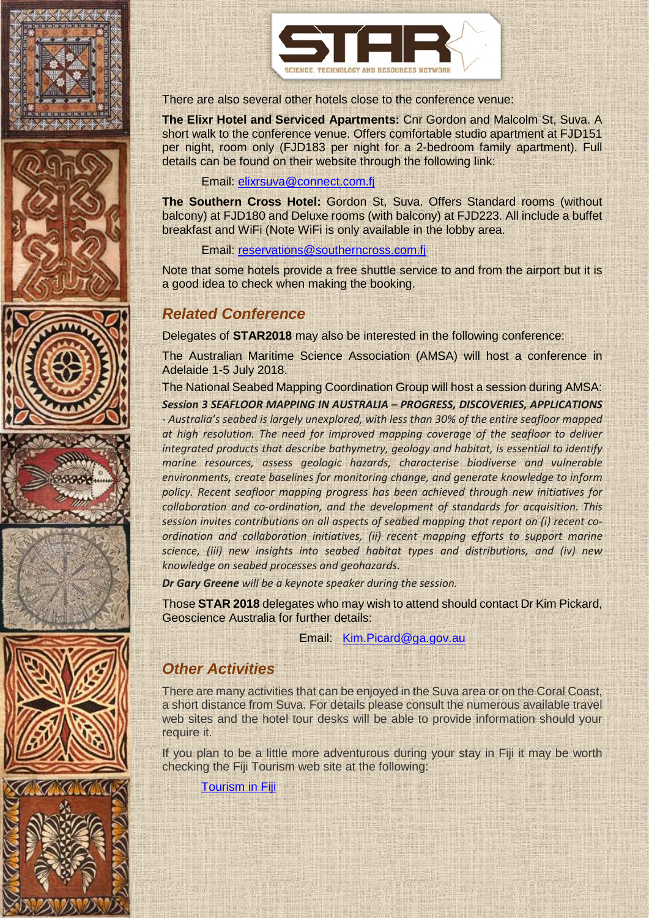













There are also several other hotels close to the conference venue:

**The Elixr Hotel and Serviced Apartments:** Cnr Gordon and Malcolm St, Suva. A short walk to the conference venue. Offers comfortable studio apartment at FJD151 per night, room only (FJD183 per night for a 2-bedroom family apartment). Full details can be found on their website through the following link:

Email: [elixrsuva@connect.com.fj](mailto:elixrsuva@connect.com.fj)

**The Southern Cross Hotel:** Gordon St, Suva. Offers Standard rooms (without balcony) at FJD180 and Deluxe rooms (with balcony) at FJD223. All include a buffet breakfast and WiFi (Note WiFi is only available in the lobby area.

Email: [reservations@southerncross.com.fj](mailto:reservations@southerncross.com.fj)

Note that some hotels provide a free shuttle service to and from the airport but it is a good idea to check when making the booking.

## *Related Conference*

Delegates of **STAR2018** may also be interested in the following conference:

The Australian Maritime Science Association (AMSA) will host a conference in Adelaide 1-5 July 2018.

The National Seabed Mapping Coordination Group will host a session during AMSA:

*Session 3 SEAFLOOR MAPPING IN AUSTRALIA – PROGRESS, DISCOVERIES, APPLICATIONS - Australia's seabed is largely unexplored, with less than 30% of the entire seafloor mapped at high resolution. The need for improved mapping coverage of the seafloor to deliver integrated products that describe bathymetry, geology and habitat, is essential to identify marine resources, assess geologic hazards, characterise biodiverse and vulnerable environments, create baselines for monitoring change, and generate knowledge to inform policy. Recent seafloor mapping progress has been achieved through new initiatives for collaboration and co-ordination, and the development of standards for acquisition. This session invites contributions on all aspects of seabed mapping that report on (i) recent coordination and collaboration initiatives, (ii) recent mapping efforts to support marine science, (iii) new insights into seabed habitat types and distributions, and (iv) new knowledge on seabed processes and geohazards.*

*Dr Gary Greene will be a keynote speaker during the session.*

Those **STAR 2018** delegates who may wish to attend should contact Dr Kim Pickard, Geoscience Australia for further details:

Email: [Kim.Picard@ga.gov.au](mailto:Kim.Picard@ga.gov.au)

## *Other Activities*

There are many activities that can be enjoyed in the Suva area or on the Coral Coast, a short distance from Suva. For details please consult the numerous available travel web sites and the hotel tour desks will be able to provide information should your require it.

If you plan to be a little more adventurous during your stay in Fiji it may be worth checking the Fiji Tourism web site at the following:

[Tourism in Fiji](https://www.fiji.travel/)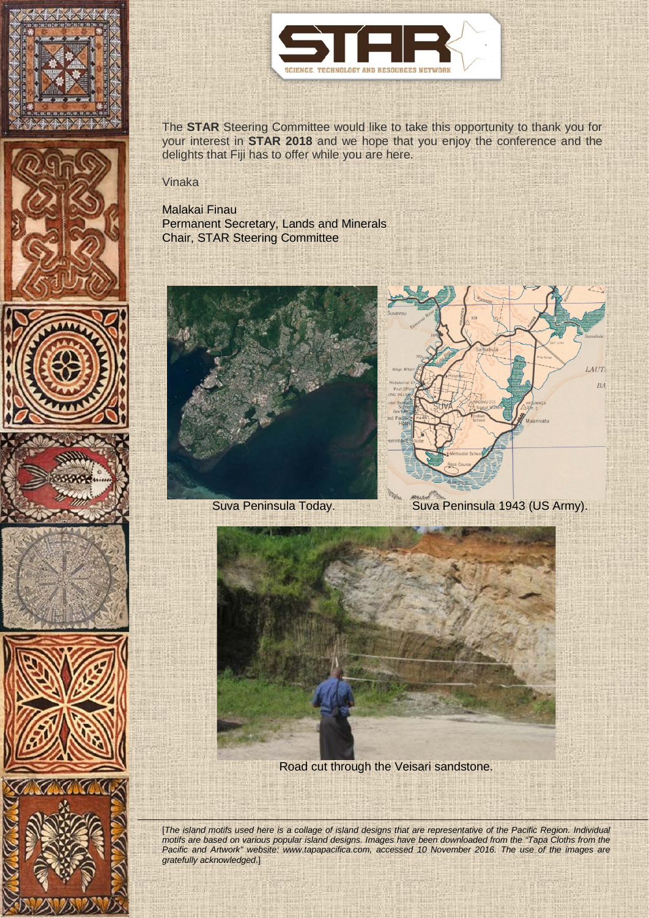















The **STAR** Steering Committee would like to take this opportunity to thank you for your interest in **STAR 2018** and we hope that you enjoy the conference and the delights that Fiji has to offer while you are here.

#### Vinaka

#### Malakai Finau

Permanent Secretary, Lands and Minerals Chair, STAR Steering Committee





Suva Peninsula Today. Suva Peninsula 1943 (US Army).



Road cut through the Veisari sandstone.

[*The island motifs used here is a collage of island designs that are representative of the Pacific Region. Individual motifs are based on various popular island designs. Images have been downloaded from the "Tapa Cloths from the*  Pacific and Artwork" website: www.tapapacifica.com, accessed 10 November 2016. The use of the images are *gratefully acknowledged*.]